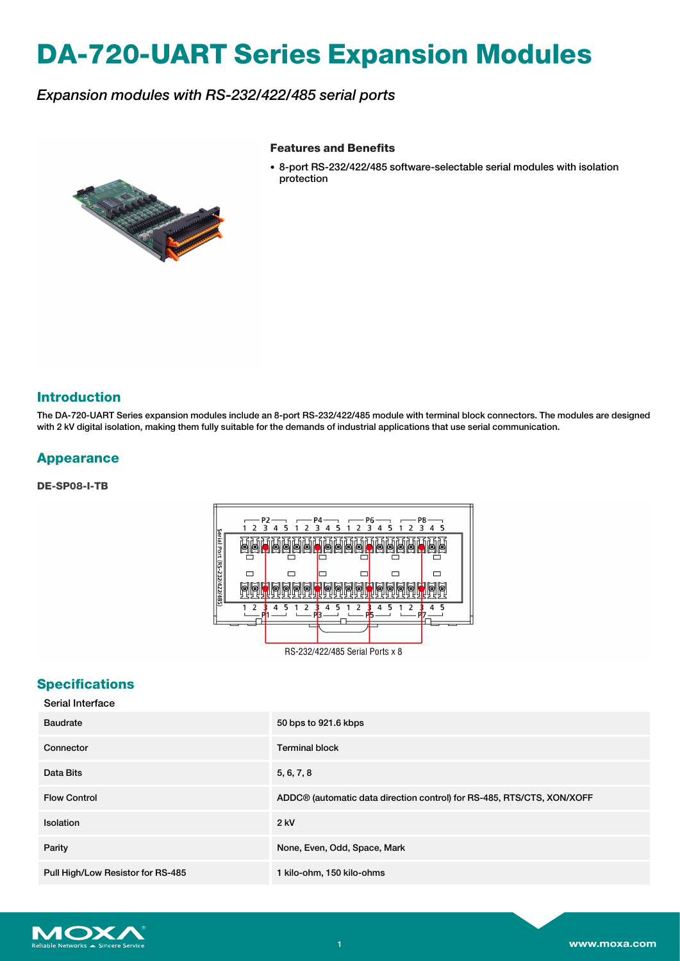# **DA-720-UART Series Expansion Modules**

## *Expansion modules with RS-232/422/485 serial ports*

#### **Features and Benefits**

- 
- 8-port RS-232/422/485 software-selectable serial modules with isolation protection

#### **Introduction**

The DA-720-UART Series expansion modules include an 8-port RS-232/422/485 module with terminal block connectors. The modules are designed with 2 kV digital isolation, making them fully suitable for the demands of industrial applications that use serial communication.

#### **Appearance**

**DE-SP08-I-TB**



RS-232/422/485 Serial Ports x 8

### **Specifications**

| Serial Interface |  |  |
|------------------|--|--|
|------------------|--|--|

| <b>Baudrate</b>                   | 50 bps to 921.6 kbps                                                   |
|-----------------------------------|------------------------------------------------------------------------|
| Connector                         | <b>Terminal block</b>                                                  |
| Data Bits                         | 5, 6, 7, 8                                                             |
| <b>Flow Control</b>               | ADDC® (automatic data direction control) for RS-485, RTS/CTS, XON/XOFF |
| <b>Isolation</b>                  | 2 kV                                                                   |
| Parity                            | None, Even, Odd, Space, Mark                                           |
| Pull High/Low Resistor for RS-485 | 1 kilo-ohm, 150 kilo-ohms                                              |

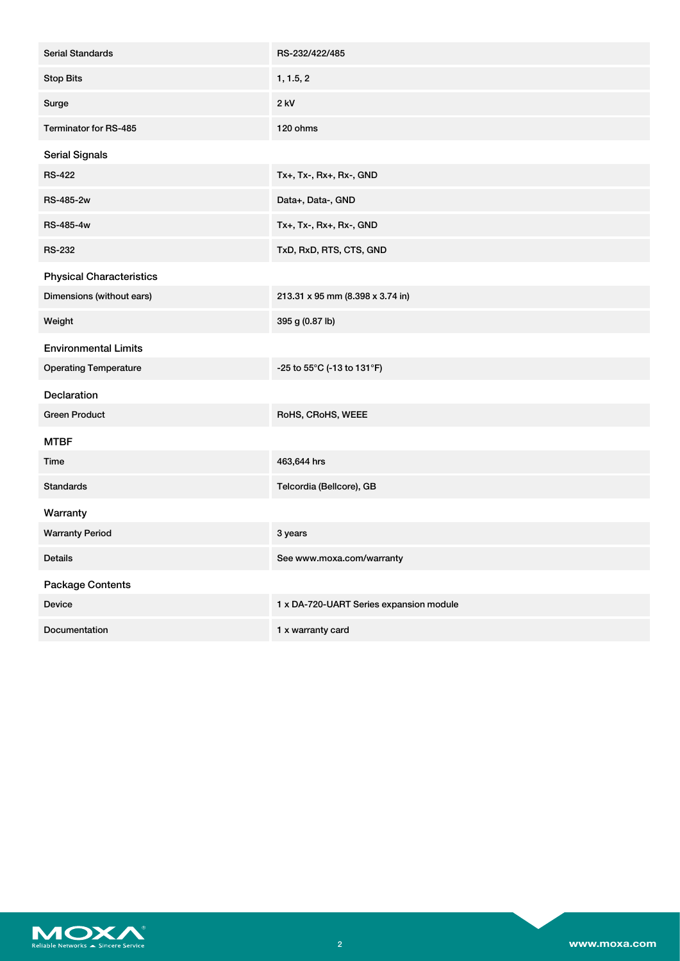| <b>Serial Standards</b>         | RS-232/422/485                          |
|---------------------------------|-----------------------------------------|
| <b>Stop Bits</b>                | 1, 1.5, 2                               |
| Surge                           | $2$ kV                                  |
| Terminator for RS-485           | 120 ohms                                |
| <b>Serial Signals</b>           |                                         |
| <b>RS-422</b>                   | Tx+, Tx-, Rx+, Rx-, GND                 |
| RS-485-2w                       | Data+, Data-, GND                       |
| RS-485-4w                       | Tx+, Tx-, Rx+, Rx-, GND                 |
| <b>RS-232</b>                   | TxD, RxD, RTS, CTS, GND                 |
| <b>Physical Characteristics</b> |                                         |
| Dimensions (without ears)       | 213.31 x 95 mm (8.398 x 3.74 in)        |
| Weight                          | 395 g (0.87 lb)                         |
| <b>Environmental Limits</b>     |                                         |
| <b>Operating Temperature</b>    | -25 to 55°C (-13 to 131°F)              |
| <b>Declaration</b>              |                                         |
| <b>Green Product</b>            | RoHS, CRoHS, WEEE                       |
| <b>MTBF</b>                     |                                         |
| Time                            | 463,644 hrs                             |
| <b>Standards</b>                | Telcordia (Bellcore), GB                |
| Warranty                        |                                         |
| <b>Warranty Period</b>          | 3 years                                 |
| Details                         | See www.moxa.com/warranty               |
| <b>Package Contents</b>         |                                         |
| Device                          | 1 x DA-720-UART Series expansion module |
| Documentation                   | 1 x warranty card                       |